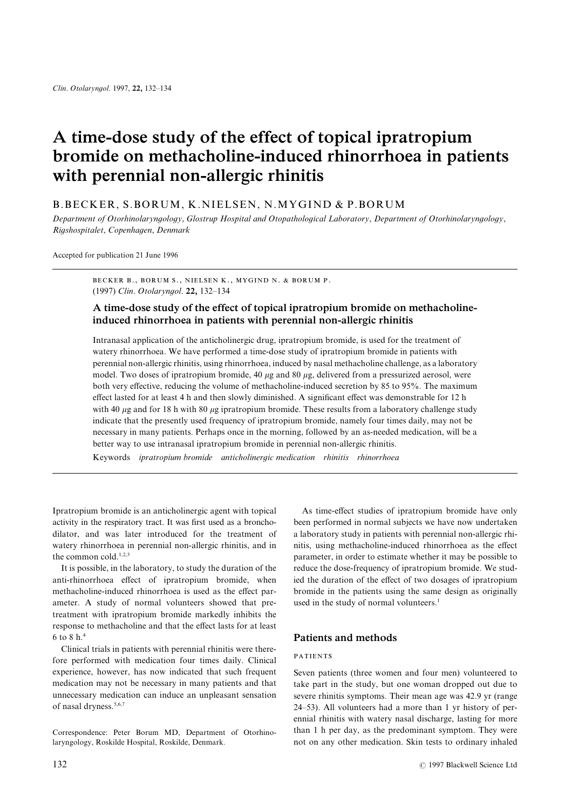# **A time-dose study of the effect of topical ipratropium bromide on methacholine-induced rhinorrhoea in patients with perennial non-allergic rhinitis**

### B.BECKER, S.BORUM, K.NIELSEN, N.MYGIND & P.BORUM

Department of Otorhinolaryngology, Glostrup Hospital and Otopathological Laboratory, Department of Otorhinolaryngology, Rigshospitalet, Copenhagen, Denmark

Accepted for publication 21 June 1996

BECKER B., BORUM S., NIELSEN K., MYGIND N. & BORUM P. (1997) Clin. Otolaryngol. 22, 132-134

## **A time-dose study of the effect of topical ipratropium bromide on methacholineinduced rhinorrhoea in patients with perennial non-allergic rhinitis**

Intranasal application of the anticholinergic drug\ ipratropium bromide\ is used for the treatment of watery rhinorrhoea. We have performed a time-dose study of ipratropium bromide in patients with perennial non-allergic rhinitis, using rhinorrhoea, induced by nasal methacholine challenge, as a laboratory model. Two doses of ipratropium bromide, 40  $\mu$ g and 80  $\mu$ g, delivered from a pressurized aerosol, were both very effective, reducing the volume of methacholine-induced secretion by 85 to 95%. The maximum effect lasted for at least 4 h and then slowly diminished. A significant effect was demonstrable for 12 h with 40  $\mu$ g and for 18 h with 80  $\mu$ g ipratropium bromide. These results from a laboratory challenge study indicate that the presently used frequency of ipratropium bromide, namely four times daily, may not be necessary in many patients. Perhaps once in the morning, followed by an as-needed medication, will be a better way to use intranasal ipratropium bromide in perennial non-allergic rhinitis.

Keywords ipratropium bromide anticholinergic medication rhinitis rhinorrhoea

Ipratropium bromide is an anticholinergic agent with topical As time-effect studies of ipratropium bromide have only activity in the respiratory tract. It was first used as a broncho-been performed in normal subjects we have now undertaken dilator, and was later introduced for the treatment of a laboratory study in patients with perennial non-allergic rhiwatery rhinorrhoea in perennial non-allergic rhinitis, and in nitis, using methacholine-induced rhinorrhoea as the effect the common cold.<sup>1,2,3</sup> parameter, in order to estimate whether it may be possible to

anti-rhinorrhoea effect of ipratropium bromide, when ied the duration of the effect of two dosages of ipratropium methacholine-induced rhinorrhoea is used as the effect par-<br>bromide in the patients using the same design as originally ameter. A study of normal volunteers showed that pre-<br>used in the study of normal volunteers.<sup>1</sup> treatment with ipratropium bromide markedly inhibits the response to methacholine and that the effect lasts for at least 5 to 7 h[<sup>3</sup> **Patients and methods**

Clinical trials in patients with perennial rhinitis were there! PATIENTS fore performed with medication four times daily. Clinical PATIENTS experience, however, has now indicated that such frequent Seven patients (three women and four men) volunteered to medication may not be necessary in many patients and that take part in the study, but one woman dropped out due to unnecessary medication can induce an unpleasant sensation severe rhinitis symptoms. Their mean age was 42.9 yr (range

It is possible, in the laboratory, to study the duration of the reduce the dose-frequency of ipratropium bromide. We stud-

of nasal dryness.<sup>5,6,7</sup>  $24-53$ ). All volunteers had a more than 1 yr history of perennial rhinitis with watery nasal discharge, lasting for more Correspondence: Peter Borum MD. Department of Otorhino-<br>than 1 h per day, as the predominant symptom. They were laryngology\ Roskilde Hospital\ Roskilde\ Denmark[ not on any other medication[ Skin tests to ordinary inhaled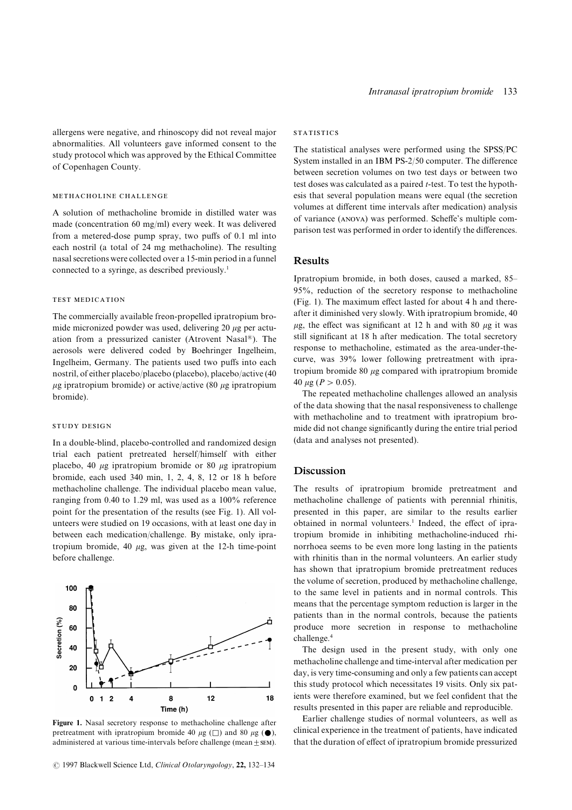allergens were negative, and rhinoscopy did not reveal major STATISTICS abnormalities. All volunteers gave informed consent to the<br>study protocol which was approved by the Ethical Committee<br>of Copenhagen County.<br>between secretion volumes on two test days or between two

each nostril (a total of 24 mg methacholine). The resulting nasal secretions were collected over a 15-min period in a funnel **Results** connected to a syringe, as described previously.<sup>1</sup>

mide micronized powder was used, delivering 20  $\mu$ g per actu-<br>ation from a pressurized canister (Atrovent Nasal®). The still significant at 18 h after medication. The total secretory ation from a pressurized canister (Atrovent Nasal<sup>®</sup>). The still significant at 18 h after medication. The total secretory aerosols were delivered coded by Boehringer Ingelheim response to methacholine, estimated as the a aerosols were delivered coded by Boehringer Ingelheim, response to methacholine, estimated as the area-under-the-<br>Ingelheim Germany The petients weed two puffs into each curve, was 39% lower following pretreatment with ipr Ingelheim, Germany. The patients used two puffs into each curve, was 39% lower following pretreatment with ipra-<br>
nostril of either placebo/placebo (placebo) placebo/active (40 tropium bromide 80  $\mu$ g compared with iprat nostril, of either placebo/placebo (placebo), placebo/active (40 tropium bromide using intertropium bromide) or active/active (80 using intertropium 40 µg ( $P > 0.05$ ).  $\mu$ g ipratropium bromide) or active/active (80  $\mu$ g ipratropium  $T_{\text{c}}$  of  $T_{\text{c}}$  are the repeated methacholine challenges allowed an analysis bromide).

In a double-blind, placebo-controlled and randomized design (data and analyses not presented). trial each patient pretreated herself/himself with either placebo, 40  $\mu$ g ipratropium bromide or 80  $\mu$ g ipratropium **Discussion** bromide, each used 340 min, 1, 2, 4, 8, 12 or 18 h before methacholine challenge. The individual placebo mean value, The results of ipratropium bromide pretreatment and ranging from 0.40 to 1.29 ml, was used as a 100% reference methacholine challenge of patients with perennial rhinitis, point for the presentation of the results (see Fig. 1). All vol-<br>presented in this paper, are similar to the results earlier unteers were studied on 19 occasions, with at least one day in obtained in normal volunteers.<sup>1</sup> Indeed, the effect of iprabetween each medication/challenge. By mistake, only ipra-<br>tropium bromide in inhibiting methacholine-induced rhitropium bromide, 40  $\mu$ g, was given at the 12-h time-point norrhoea seems to be even more long lasting in the patients before challenge. The normal volunteers. An earlier study with rhinitis than in the normal volunteers. An earlier study

### $100$ 80 Secretion (%) 60 40 20  $\overline{0}$  $18$ 8  $12$  $\mathbf{0}$  $\overline{1}$  $\overline{2}$  $\overline{a}$ Time (h)

test doses was calculated as a paired  $t$ -test. To test the hypoth-METHACHOLINE CHALLENGE esis that several population means were equal (the secretion A solution of methacholine bromide in distilled water was<br>made (concentration 60 mg/ml) every week. It was delivered<br>from a metered-dose pump spray, two puffs of 0.1 ml into<br>parison test was performed in order to identify

Ipratropium bromide, in both doses, caused a marked, 85–  $95\%$ , reduction of the secretory response to methacholine TEST MEDICATION (Fig. 1). The maximum effect lasted for about 4 h and there-The commercially available freon-propelled ipratropium bro-<br>mide micronized nowder was used delivering 20 ug per actu-<br> $\mu$ g, the effect was significant at 12 h and with 80  $\mu$ g it was

of the data showing that the nasal responsiveness to challenge with methacholine and to treatment with ipratropium bro-STUDY DESIGN mide did not change significantly during the entire trial period

has shown that ipratropium bromide pretreatment reduces the volume of secretion, produced by methacholine challenge, to the same level in patients and in normal controls. This means that the percentage symptom reduction is larger in the patients than in the normal controls\ because the patients produce more secretion in response to methacholine challenge.<sup>4</sup>

The design used in the present study, with only one methacholine challenge and time-interval after medication per day, is very time-consuming and only a few patients can accept this study protocol which necessitates 19 visits. Only six patients were therefore examined, but we feel confident that the results presented in this paper are reliable and reproducible.

Figure 1. Nasal secretory response to methacholine challenge after Farlier challenge studies of normal volunteers, as well as pretreatment with ipratropium bromide 40  $\mu$ g ( $\Box$ ) and 80  $\mu$ g ( $\Box$ ). clinical experience in the treatment of patients, have indicated administered at various time-intervals before challenge (mean  $\pm$  sEM). that the duration of effect of ipratropium bromide pressurized